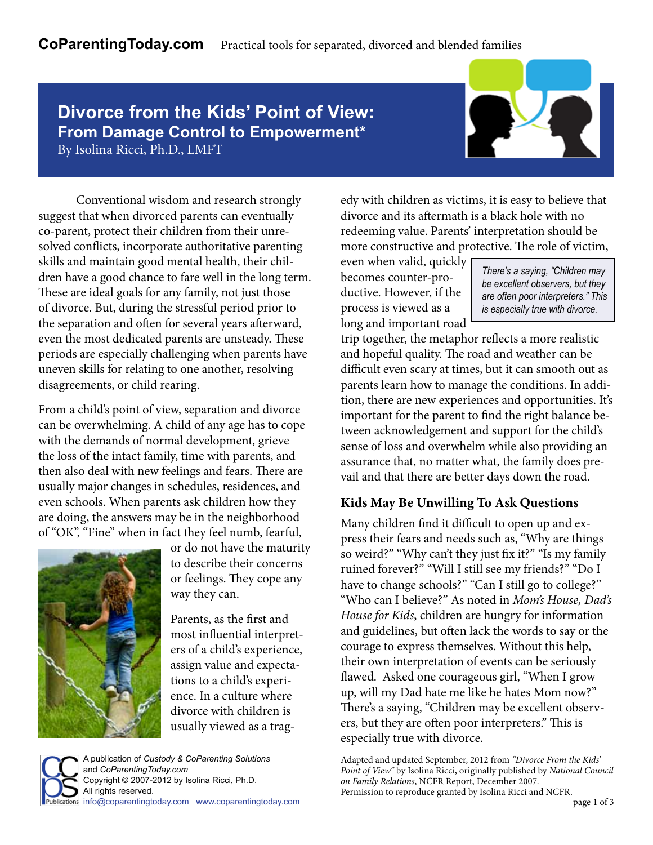# **Divorce from the Kids' Point of View: From Damage Control to Empowerment\*** By Isolina Ricci, Ph.D., LMFT



 Conventional wisdom and research strongly suggest that when divorced parents can eventually co-parent, protect their children from their unresolved conflicts, incorporate authoritative parenting skills and maintain good mental health, their children have a good chance to fare well in the long term. These are ideal goals for any family, not just those of divorce. But, during the stressful period prior to the separation and often for several years afterward, even the most dedicated parents are unsteady. These periods are especially challenging when parents have uneven skills for relating to one another, resolving disagreements, or child rearing.

From a child's point of view, separation and divorce can be overwhelming. A child of any age has to cope with the demands of normal development, grieve the loss of the intact family, time with parents, and then also deal with new feelings and fears. There are usually major changes in schedules, residences, and even schools. When parents ask children how they are doing, the answers may be in the neighborhood of "OK", "Fine" when in fact they feel numb, fearful,



or do not have the maturity to describe their concerns or feelings. They cope any way they can.

Parents, as the first and most influential interpreters of a child's experience, assign value and expectations to a child's experience. In a culture where divorce with children is usually viewed as a trag-



edy with children as victims, it is easy to believe that divorce and its aftermath is a black hole with no redeeming value. Parents' interpretation should be more constructive and protective. The role of victim,

even when valid, quickly becomes counter-productive. However, if the process is viewed as a long and important road

*There's a saying, "Children may be excellent observers, but they are often poor interpreters." This is especially true with divorce.* 

trip together, the metaphor reflects a more realistic and hopeful quality. The road and weather can be difficult even scary at times, but it can smooth out as parents learn how to manage the conditions. In addition, there are new experiences and opportunities. It's important for the parent to find the right balance between acknowledgement and support for the child's sense of loss and overwhelm while also providing an assurance that, no matter what, the family does prevail and that there are better days down the road.

## **Kids May Be Unwilling To Ask Questions**

Many children find it difficult to open up and express their fears and needs such as, "Why are things so weird?" "Why can't they just fix it?" "Is my family ruined forever?" "Will I still see my friends?" "Do I have to change schools?" "Can I still go to college?" "Who can I believe?" As noted in *Mom's House, Dad's House for Kids*, children are hungry for information and guidelines, but often lack the words to say or the courage to express themselves. Without this help, their own interpretation of events can be seriously flawed. Asked one courageous girl, "When I grow up, will my Dad hate me like he hates Mom now?" There's a saying, "Children may be excellent observers, but they are often poor interpreters." This is especially true with divorce.

Adapted and updated September, 2012 from *"Divorce From the Kids' Point of View"* by Isolina Ricci, originally published by *National Council on Family Relations*, NCFR Report, December 2007. Permission to reproduce granted by Isolina Ricci and NCFR.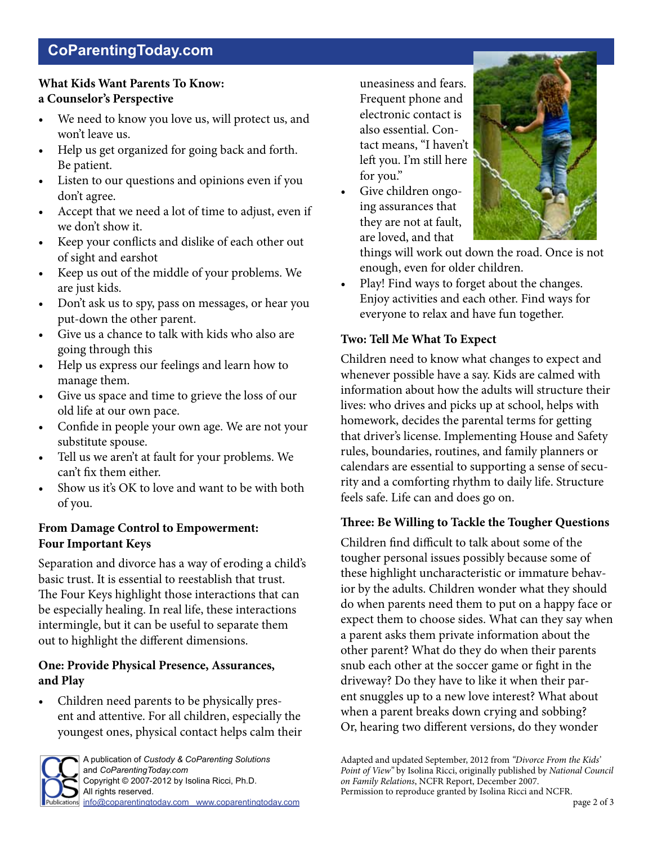# **CoParentingToday.com**

## **What Kids Want Parents To Know: a Counselor's Perspective**

- We need to know you love us, will protect us, and won't leave us.
- Help us get organized for going back and forth. Be patient.
- Listen to our questions and opinions even if you don't agree.
- Accept that we need a lot of time to adjust, even if we don't show it.
- Keep your conflicts and dislike of each other out of sight and earshot
- Keep us out of the middle of your problems. We are just kids.
- Don't ask us to spy, pass on messages, or hear you put-down the other parent.
- Give us a chance to talk with kids who also are going through this
- Help us express our feelings and learn how to manage them.
- Give us space and time to grieve the loss of our old life at our own pace.
- Confide in people your own age. We are not your substitute spouse.
- Tell us we aren't at fault for your problems. We can't fix them either.
- Show us it's OK to love and want to be with both of you.

### **From Damage Control to Empowerment: Four Important Keys**

Separation and divorce has a way of eroding a child's basic trust. It is essential to reestablish that trust. The Four Keys highlight those interactions that can be especially healing. In real life, these interactions intermingle, but it can be useful to separate them out to highlight the different dimensions.

### **One: Provide Physical Presence, Assurances, and Play**

• Children need parents to be physically present and attentive. For all children, especially the youngest ones, physical contact helps calm their



A publication of *Custody & CoParenting Solutions* and *CoParentingToday.com*  Copyright © 2007-2012 by Isolina Ricci, Ph.D. All rights reserved. [info@coparentingtoday.com](mailto:info@coparentingtoday.com) [www.coparentingtoday.com](http://www.thecoparentingtoolkit.com/coparentingtoday.html) uneasiness and fears. Frequent phone and electronic contact is also essential. Contact means, "I haven't left you. I'm still here for you."

Give children ongoing assurances that they are not at fault, are loved, and that



things will work out down the road. Once is not enough, even for older children.

Play! Find ways to forget about the changes. Enjoy activities and each other. Find ways for everyone to relax and have fun together.

## **Two: Tell Me What To Expect**

Children need to know what changes to expect and whenever possible have a say. Kids are calmed with information about how the adults will structure their lives: who drives and picks up at school, helps with homework, decides the parental terms for getting that driver's license. Implementing House and Safety rules, boundaries, routines, and family planners or calendars are essential to supporting a sense of security and a comforting rhythm to daily life. Structure feels safe. Life can and does go on.

## **Three: Be Willing to Tackle the Tougher Questions**

Children find difficult to talk about some of the tougher personal issues possibly because some of these highlight uncharacteristic or immature behavior by the adults. Children wonder what they should do when parents need them to put on a happy face or expect them to choose sides. What can they say when a parent asks them private information about the other parent? What do they do when their parents snub each other at the soccer game or fight in the driveway? Do they have to like it when their parent snuggles up to a new love interest? What about when a parent breaks down crying and sobbing? Or, hearing two different versions, do they wonder

Adapted and updated September, 2012 from *"Divorce From the Kids' Point of View"* by Isolina Ricci, originally published by *National Council on Family Relations*, NCFR Report, December 2007. Permission to reproduce granted by Isolina Ricci and NCFR.